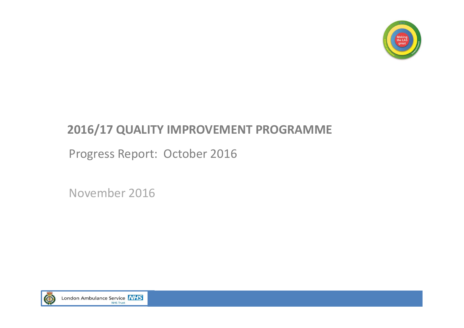

## **2016/17 QUALITY IMPROVEMENT PROGRAMME**

Progress Report: October 2016

November 2016

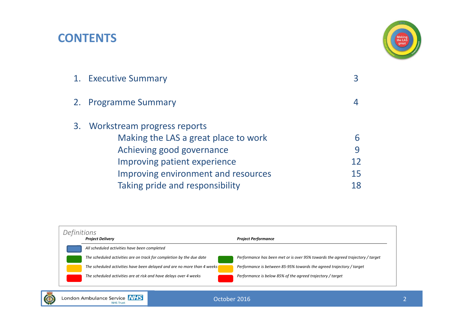### **CONTENTS**



| Making the LAS a great place to work |                                                                                |
|--------------------------------------|--------------------------------------------------------------------------------|
| Achieving good governance            |                                                                                |
| Improving patient experience         | 12                                                                             |
| Improving environment and resources  | 15                                                                             |
| Taking pride and responsibility      |                                                                                |
|                                      | 1. Executive Summary<br>2. Programme Summary<br>3. Workstream progress reports |

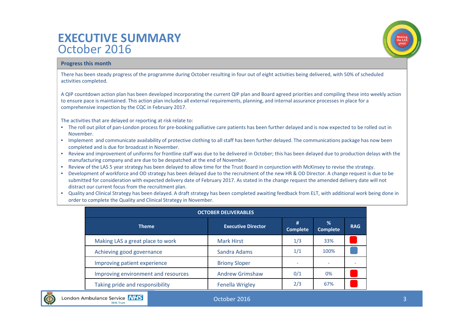### **EXECUTIVE SUMMARY**October 2016



### **Progress this month**

There has been steady progress of the programme during October resulting in four out of eight activities being delivered, with 50% of scheduled activities completed.

A QIP countdown action plan has been developed incorporating the current QIP plan and Board agreed priorities and compiling these into weekly action to ensure pace is maintained. This action plan includes all external requirements, planning, and internal assurance processes in place for <sup>a</sup> comprehensive inspection by the CQC in February 2017.

The activities that are delayed or reporting at risk relate to:

- The roll out pilot of pan‐London process for pre‐booking palliative care patients has been further delayed and is now expected to be rolled out in November.
- Implement and communicate availability of protective clothing to all staff has been further delayed. The communications package has now been completed and is due for broadcast in November.
- Review and improvement of uniforms for frontline staff was due to be delivered in October; this has been delayed due to production delays with the manufacturing company and are due to be despatched at the end of November.
- Review of the LAS 5 year strategy has been delayed to allow time for the Trust Board in conjunction with McKinsey to revise the strategy.
- Development of workforce and OD strategy has been delayed due to the recruitment of the new HR & OD Director. A change request is due to be submitted for consideration with expected delivery date of February 2017. As stated in the change request the amended delivery date will not distract our current focus from the recruitment plan.
- Quality and Clinical Strategy has been delayed. A draft strategy has been completed awaiting feedback from ELT, with additional work being done in order to complete the Quality and Clinical Strategy in November.

| <b>OCTOBER DELIVERABLES</b>         |                           |                      |                      |            |  |  |  |  |
|-------------------------------------|---------------------------|----------------------|----------------------|------------|--|--|--|--|
| <b>Theme</b>                        | <b>Executive Director</b> | #<br><b>Complete</b> | %<br><b>Complete</b> | <b>RAG</b> |  |  |  |  |
| Making LAS a great place to work    | <b>Mark Hirst</b>         | 1/3                  | 33%                  |            |  |  |  |  |
| Achieving good governance           | Sandra Adams              | 1/1                  | 100%                 |            |  |  |  |  |
| Improving patient experience        | <b>Briony Sloper</b>      |                      | ۰                    |            |  |  |  |  |
| Improving environment and resources | <b>Andrew Grimshaw</b>    | 0/1                  | 0%                   |            |  |  |  |  |
| Taking pride and responsibility     | <b>Fenella Wrigley</b>    | 2/3                  | 67%                  |            |  |  |  |  |

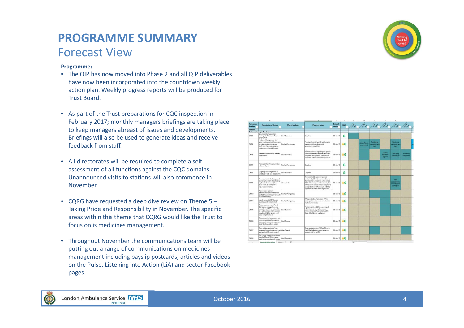### **PROGRAMME SUMMARY**Forecast View

### **Programme:**

- The QIP has now moved into Phase 2 and all QIP deliverables have now been incorporated into the countdown weekly action plan. Weekly progress reports will be produced for Trust Board.
- As part of the Trust preparations for CQC inspection in February 2017; monthly managers briefings are taking place to keep managers abreast of issues and developments. Briefings will also be used to generate ideas and receive feedback from staff.
- All directorates will be required to complete <sup>a</sup> self assessment of all functions against the CQC domains. Unannounced visits to stations will also commence in November.
- CQRG have requested <sup>a</sup> deep dive review on Theme 5 Taking Pride and Responsibility in November. The specific areas within this theme that CQRG would like the Trust to focus on is medicines management.
- Throughout November the communications team will be putting out <sup>a</sup> range of communications on medicines management including payslip postcards, articles and videos on the Pulse, Listening into Action (LiA) and sector Facebook pages.

| <b>Flederance</b> | <b>Decoration of Action</b>                                                                                                                                                                    | <b>Who is leading</b><br>$\overline{\phantom{a}}$ | <b>Progress notes</b>                                                                                                                                                                                                                                                                                    | $D - r - 1$<br><b><i><u>under</u></i></b> |    |                                      |                                              |                                      | we. /30. /30. /33. /33. /33. /33.                           |                           |
|-------------------|------------------------------------------------------------------------------------------------------------------------------------------------------------------------------------------------|---------------------------------------------------|----------------------------------------------------------------------------------------------------------------------------------------------------------------------------------------------------------------------------------------------------------------------------------------------------------|-------------------------------------------|----|--------------------------------------|----------------------------------------------|--------------------------------------|-------------------------------------------------------------|---------------------------|
| <b>SAFETY</b>     |                                                                                                                                                                                                |                                                   |                                                                                                                                                                                                                                                                                                          |                                           |    |                                      |                                              |                                      |                                                             |                           |
|                   | <b>Actions relating to Medicines</b>                                                                                                                                                           |                                                   |                                                                                                                                                                                                                                                                                                          |                                           |    |                                      |                                              |                                      |                                                             |                           |
| CH53              | Complete initial accessment<br>meeting with Pharmacu. Also see<br>action CH74.                                                                                                                 | Lica Mauzewelco                                   | Conciera                                                                                                                                                                                                                                                                                                 | $00 - \lambda$ an-15                      | G  |                                      |                                              |                                      |                                                             |                           |
| CHT4              | Nedcines Naturgement - key<br>actors outlined in initial meeting to<br>be witten up including a clear<br>tineline as that progress parties<br>monitored on a fortraghtly basis.                | RachaelMongonery                                  | Feedback from LM and AC re information<br>sativing AS coordinating risk<br>acceciment completion.                                                                                                                                                                                                        | 08-An-15 AG                               |    | <b>Action Plan to</b><br>be-compled. | Montgerig<br><b>Newting to fake</b><br>place |                                      | <b>Montrane</b><br>nestatgitu taka<br>place                 |                           |
| <b>CHTS</b>       | Treatment room doors for the Alex<br>to be ordered.                                                                                                                                            | Lisa Meuszenko                                    | Position statement regarding site specific<br>controls for ambient temperature to be to<br>be agreed and signed off. Doors to be<br>sidaredho achieve ambient temperature                                                                                                                                | $08 - \lambda n - 15$ AG                  |    |                                      |                                              | peakers<br><b>distances</b><br>aguat | door living<br><b><i><u>STARTING AT </u></i></b>            | door firtung<br>parciered |
| CHIT7             | Priority plan for Affine atment door<br>to be developed                                                                                                                                        | RachaelMontgomery                                 | Conciera                                                                                                                                                                                                                                                                                                 | $08 - \lambda = -15$                      | G  |                                      |                                              |                                      |                                                             |                           |
| CHITE             | Drug kidge checking toon to be<br>used by all wards and departments.                                                                                                                           | Lica Messicanico                                  | Conciera                                                                                                                                                                                                                                                                                                 | $00 - 3$ or $-15$                         | G  |                                      |                                              |                                      |                                                             |                           |
| CHTIS             | Pharmaculto identify the hipe and<br>cost of replacement doors for drug<br>cupboards that currently have<br>doors which do not meet the<br>required specification.                             | Algon Small                                       | The need for CD oupboard upgrade<br>evaluated by AC and recommendation in<br>that this is not a neoessary action before<br>CQC AS to complete a FA to identify that<br>risk har been arressed and ir mitgated to<br>acoeptable level. Pharmacs to pubmit a<br>capital bid on behalf of the organization. | $00 - \lambda n - 15$ $\Lambda$ G         |    |                                      |                                              |                                      | FM.<br><b>AUTORIZINANE RI</b><br>be completed<br>and agreed |                           |
| CHIDS             | Mased doses and non-<br>administration of medicines to be<br>audeodin June, Analysis of results<br>larveek Emeeting                                                                            | RachaelMontgomers                                 |                                                                                                                                                                                                                                                                                                          | 05-An-15 AG                               |    |                                      |                                              |                                      |                                                             |                           |
| CH194             | Weekly removal of CD's by ward<br>phamacy staff inglemented                                                                                                                                    | RachaelMontgomery                                 | FM cascaded to chamacists. FM to<br>shipin pasition statements on technician<br>Puckamers hom AC.                                                                                                                                                                                                        | $08 - \lambda n - 15$                     | AG |                                      |                                              |                                      |                                                             |                           |
| CHTIS             | Postion statement on WFI and<br>Salne angs storage. Gutcone<br>cascaded to White for action. CA<br>by ward pharmacy mall that action<br>completed. GASpr all non-ward<br>areas completed by AS | Lica Meuczanko                                    | Postten clarified. CDVs. manons and<br><b>Wisinformed Leadpharmacins</b><br>informed and to QA wards from yo Bith<br>Aine, AS to QA non-ward areas                                                                                                                                                       | 05-An-15 AG                               |    |                                      |                                              |                                      |                                                             |                           |
| CHO8              | The process for the delivery to and<br>return of medicines ham is ands to<br>pharmacula not completely secure.<br>Greenbowbag delivery zustem                                                  | Hugh Morrow                                       |                                                                                                                                                                                                                                                                                                          | 06-An-15 AG                               |    |                                      |                                              |                                      |                                                             |                           |
| CH137             | Over-arching analysis of Trust<br>issues and trends from annual ward. Alan Camerall<br>and quarterly CD audits created                                                                         |                                                   | Done and validated at PEC we 5th June.<br>Meda Manibulatin to commo remaining<br>innues to staff borow 25th.                                                                                                                                                                                             | $08 - \lambda n - 15$ AG                  |    |                                      |                                              |                                      |                                                             |                           |
| CHT08             | The transfer of patients medicines<br>hom the ED and NAU to transfer<br>wards is not conciliant with oursers                                                                                   | Lisa Ministeriko                                  |                                                                                                                                                                                                                                                                                                          | $08 - \lambda n - 15$ AG                  |    |                                      |                                              |                                      |                                                             |                           |

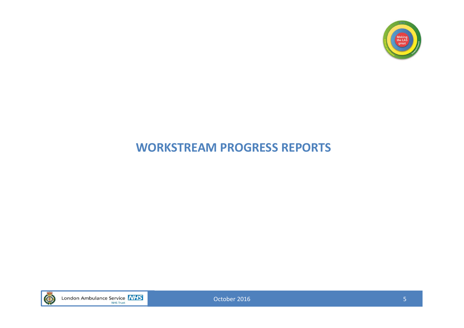

### **WORKSTREAM PROGRESS REPORTS**

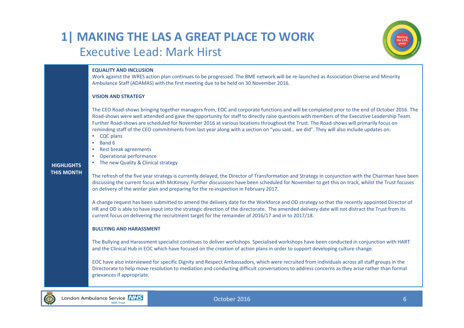### **1| MAKING THE LAS A GREAT PLACE TO WORK** Executive Lead: Mark Hirst



#### **EQUALITY AND INCLUSION**

Work against the WRES action plan continues to be progressed. The BME network will be re‐launched as Association Diverse and Minority Ambulance Staff (ADAMAS) with the first meeting due to be held on 30 November 2016.

#### **VISION AND STRATEGY**

The CEO Road‐shows bringing together managers from, EOC and corporate functions and will be completed prior to the end of October 2016. The Road‐shows were well attended and gave the opportunity for staff to directly raise questions with members of the Executive Leadership Team. Further Road‐shows are scheduled for November 2016 at various locations throughout the Trust. The Road‐shows will primarily focus on reminding staff of the CEO commitments from last year along with <sup>a</sup> section on "you said… we did". They will also include updates on:

- CQC plans
- Band 6
- Rest break agreements
- Operational performance

• The new Quality & Clinical strategy

#### **HIGHLIGHTSTHIS MONTH**

The refresh of the five year strategy is currently delayed, the Director of Transformation and Strategy in conjunction with the Chairman have been discussing the current focus with McKinsey. Further discussions have been scheduled for November to get this on track, whilst the Trust focuses on delivery of the winter plan and preparing for the re‐inspection in February 2017.

A change request has been submitted to amend the delivery date for the Workforce and OD strategy so that the recently appointed Director of HR and OD is able to have input into the strategic direction of the directorate. The amended delivery date will not distract the Trust from its current focus on delivering the recruitment target for the remainder of 2016/17 and in to 2017/18.

#### **BULLYING AND HARASSMENT**

The Bullying and Harassment specialist continues to deliver workshops. Specialised workshops have been conducted in conjunction with HART and the Clinical Hub in EOC which have focused on the creation of action plans in order to support developing culture change.

EOC have also interviewed for specific Dignity and Respect Ambassadors, which were recruited from individuals across all staff groups in the Directorate to help move resolution to mediation and conducting difficult conversations to address concerns as they arise rather than formal grievances if appropriate.

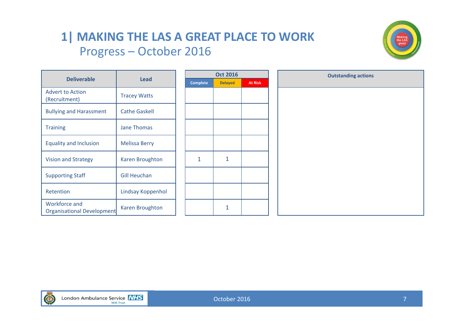### **1| MAKING THE LAS A GREAT PLACE TO WORK** Progress – October 2016

**Oct 2016**

**Delayed** 



|                                                           |                      | Oct <sub>2</sub> |             |  |  |
|-----------------------------------------------------------|----------------------|------------------|-------------|--|--|
| <b>Deliverable</b>                                        | Lead                 | <b>Complete</b>  | <b>Dela</b> |  |  |
| <b>Advert to Action</b><br>(Recruitment)                  | <b>Tracey Watts</b>  |                  |             |  |  |
| <b>Bullying and Harassment</b>                            | <b>Cathe Gaskell</b> |                  |             |  |  |
| <b>Training</b>                                           | <b>Jane Thomas</b>   |                  |             |  |  |
| <b>Equality and Inclusion</b>                             | <b>Melissa Berry</b> |                  |             |  |  |
| Vision and Strategy                                       | Karen Broughton      | 1                | 1           |  |  |
| <b>Supporting Staff</b>                                   | <b>Gill Heuchan</b>  |                  |             |  |  |
| Retention                                                 | Lindsay Koppenhol    |                  |             |  |  |
| <b>Workforce and</b><br><b>Organisational Development</b> | Karen Broughton      |                  | 1           |  |  |

|         | <b>Outstanding actions</b> |
|---------|----------------------------|
| At Risk |                            |
|         |                            |
|         |                            |
|         |                            |
|         |                            |
|         |                            |
|         |                            |
|         |                            |
|         |                            |
|         |                            |
|         |                            |
|         |                            |
|         |                            |
|         |                            |
|         |                            |
|         |                            |
|         |                            |

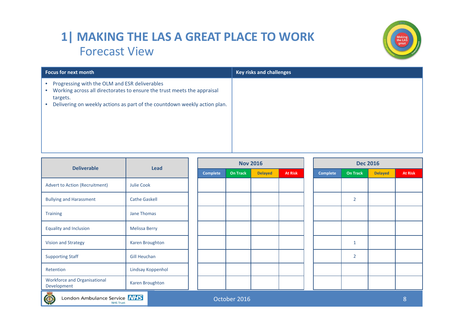## **1| MAKING THE LAS A GREAT PLACE TO WORK** Forecast View



| <b>Focus for next month</b>                                                                                                                                                                                       | <b>Key risks and challenges</b> |
|-------------------------------------------------------------------------------------------------------------------------------------------------------------------------------------------------------------------|---------------------------------|
| Progressing with the OLM and ESR deliverables<br>Working across all directorates to ensure the trust meets the appraisal<br>targets.<br>Delivering on weekly actions as part of the countdown weekly action plan. |                                 |

| <b>Deliverable</b><br><b>Lead</b>                                                       |                      |  |          |                 | <b>Nov 2016</b> |                |  | <b>Dec 2016</b> |                |                |                |  |
|-----------------------------------------------------------------------------------------|----------------------|--|----------|-----------------|-----------------|----------------|--|-----------------|----------------|----------------|----------------|--|
|                                                                                         |                      |  | Complete | <b>On Track</b> | <b>Delayed</b>  | <b>At Risk</b> |  | <b>Complete</b> | On Track       | <b>Delayed</b> | <b>At Risk</b> |  |
| <b>Advert to Action (Recruitment)</b>                                                   | <b>Julie Cook</b>    |  |          |                 |                 |                |  |                 |                |                |                |  |
| <b>Bullying and Harassment</b>                                                          | <b>Cathe Gaskell</b> |  |          |                 |                 |                |  |                 | $\overline{2}$ |                |                |  |
| <b>Training</b>                                                                         | Jane Thomas          |  |          |                 |                 |                |  |                 |                |                |                |  |
| <b>Equality and Inclusion</b>                                                           | <b>Melissa Berry</b> |  |          |                 |                 |                |  |                 |                |                |                |  |
| <b>Vision and Strategy</b>                                                              | Karen Broughton      |  |          |                 |                 |                |  |                 | 1              |                |                |  |
| <b>Supporting Staff</b>                                                                 | <b>Gill Heuchan</b>  |  |          |                 |                 |                |  |                 | $\overline{2}$ |                |                |  |
| Retention                                                                               | Lindsay Koppenhol    |  |          |                 |                 |                |  |                 |                |                |                |  |
| <b>Workforce and Organisational</b><br>Development                                      | Karen Broughton      |  |          |                 |                 |                |  |                 |                |                |                |  |
| London Ambulance Service NHS<br>$\circledcirc$<br>October 2016<br>8<br><b>NHS Trust</b> |                      |  |          |                 |                 |                |  |                 |                |                |                |  |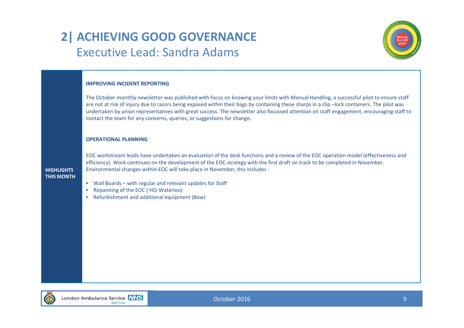# **2| ACHIEVING GOOD GOVERNANCE** Executive Lead: Sandra Adams



### **IMPROVING INCIDENT REPORTING**

The October monthly newsletter was published with focus on knowing your limits with Manual Handling, <sup>a</sup> successful pilot to ensure staff are not at risk of injury due to razors being exposed within their bags by containing these sharps in <sup>a</sup> clip –lock containers. The pilot was undertaken by union representatives with great success. The newsletter also focussed attention on staff engagement, encouraging staff to contact the team for any concerns, queries, or suggestions for change**.**

#### **OPERATIONAL PLANNING**

**HIGHLIGHTSTHIS MONTH**

EOC workstream leads have undertaken an evaluation of the desk functions and <sup>a</sup> review of the EOC operation model (effectiveness and efficiency). Work continues on the development of the EOC strategy with the first draft on track to be completed in November. Environmental changes within EOC will take place in November, this includes :

- Wall Boards with regular and relevant updates for Staff
- Repainting of the EOC ( HQ‐Waterloo)
- Refurbishment and additional equipment (Bow)

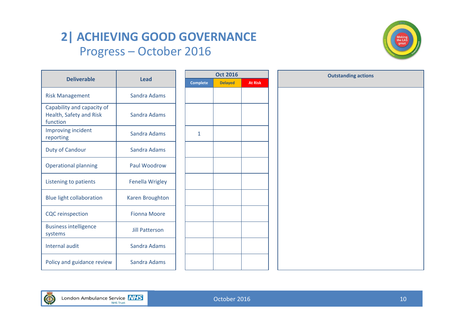# **2| ACHIEVING GOOD GOVERNANCE** Progress – October 2016



|                                                                   |                       | <b>Oct 2016</b> |                | <b>Outstanding actions</b> |  |
|-------------------------------------------------------------------|-----------------------|-----------------|----------------|----------------------------|--|
| <b>Deliverable</b>                                                | <b>Lead</b>           | <b>Complete</b> | <b>Delayed</b> | <b>At Risk</b>             |  |
| <b>Risk Management</b>                                            | Sandra Adams          |                 |                |                            |  |
| Capability and capacity of<br>Health, Safety and Risk<br>function | Sandra Adams          |                 |                |                            |  |
| Improving incident<br>reporting                                   | Sandra Adams          | $\mathbf{1}$    |                |                            |  |
| <b>Duty of Candour</b>                                            | Sandra Adams          |                 |                |                            |  |
| <b>Operational planning</b>                                       | Paul Woodrow          |                 |                |                            |  |
| Listening to patients                                             | Fenella Wrigley       |                 |                |                            |  |
| <b>Blue light collaboration</b>                                   | Karen Broughton       |                 |                |                            |  |
| <b>CQC</b> reinspection                                           | <b>Fionna Moore</b>   |                 |                |                            |  |
| <b>Business intelligence</b><br>systems                           | <b>Jill Patterson</b> |                 |                |                            |  |
| Internal audit                                                    | Sandra Adams          |                 |                |                            |  |
| Policy and guidance review                                        | Sandra Adams          |                 |                |                            |  |

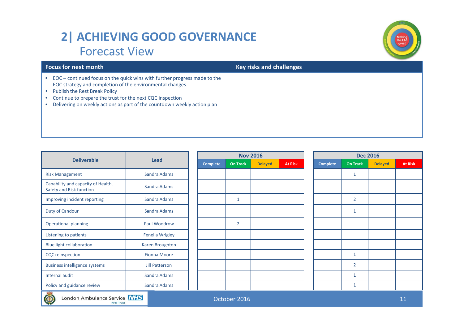# **2| ACHIEVING GOOD GOVERNANCE** Forecast View



| <b>Focus for next month</b>                                                                                                                                                                                                                                                                                      | <b>Key risks and challenges</b> |
|------------------------------------------------------------------------------------------------------------------------------------------------------------------------------------------------------------------------------------------------------------------------------------------------------------------|---------------------------------|
| EOC – continued focus on the quick wins with further progress made to the<br>EOC strategy and completion of the environmental changes.<br>Publish the Rest Break Policy<br>Continue to prepare the trust for the next CQC inspection<br>Delivering on weekly actions as part of the countdown weekly action plan |                                 |

|                                                                        |                       |                 |                 | <b>Nov 2016</b> |                |  | <b>Dec 2016</b> |                 |                |                |  |
|------------------------------------------------------------------------|-----------------------|-----------------|-----------------|-----------------|----------------|--|-----------------|-----------------|----------------|----------------|--|
| <b>Deliverable</b>                                                     | <b>Lead</b>           | <b>Complete</b> | <b>On Track</b> | <b>Delayed</b>  | <b>At Risk</b> |  | <b>Complete</b> | <b>On Track</b> | <b>Delayed</b> | <b>At Risk</b> |  |
| <b>Risk Management</b>                                                 | Sandra Adams          |                 |                 |                 |                |  |                 | 1               |                |                |  |
| Capability and capacity of Health,<br>Safety and Risk function         | Sandra Adams          |                 |                 |                 |                |  |                 |                 |                |                |  |
| Improving incident reporting                                           | Sandra Adams          |                 | $\mathbf{1}$    |                 |                |  |                 | $\overline{2}$  |                |                |  |
| Duty of Candour                                                        | Sandra Adams          |                 |                 |                 |                |  |                 | $\mathbf{1}$    |                |                |  |
| <b>Operational planning</b>                                            | Paul Woodrow          |                 | $\overline{2}$  |                 |                |  |                 |                 |                |                |  |
| Listening to patients                                                  | Fenella Wrigley       |                 |                 |                 |                |  |                 |                 |                |                |  |
| <b>Blue light collaboration</b>                                        | Karen Broughton       |                 |                 |                 |                |  |                 |                 |                |                |  |
| <b>CQC</b> reinspection                                                | <b>Fionna Moore</b>   |                 |                 |                 |                |  |                 | $\mathbf{1}$    |                |                |  |
| <b>Business intelligence systems</b>                                   | <b>Jill Patterson</b> |                 |                 |                 |                |  |                 | $\overline{2}$  |                |                |  |
| Internal audit                                                         | Sandra Adams          |                 |                 |                 |                |  |                 | $\mathbf{1}$    |                |                |  |
| Policy and guidance review                                             | Sandra Adams          |                 |                 |                 |                |  |                 | 1               |                |                |  |
| London Ambulance Service NHS<br>October 2016<br>11<br><b>NHS Trust</b> |                       |                 |                 |                 |                |  |                 |                 |                |                |  |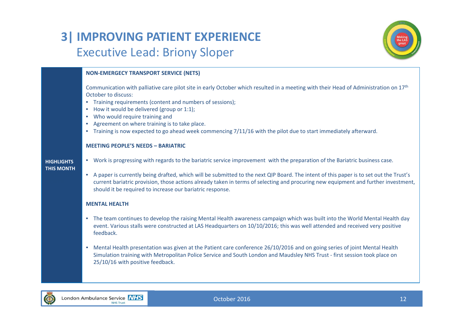# **3| IMPROVING PATIENT EXPERIENCE** Executive Lead: Briony Sloper



### **NON‐EMERGECY TRANSPORT SERVICE (NETS)**

Communication with palliative care pilot site in early October which resulted in a meeting with their Head of Administration on 17<sup>th</sup> October to discuss:

- Training requirements (content and numbers of sessions);
- How it would be delivered (group or 1:1);
- Who would require training and
- Agreement on where training is to take place.
- Training is now expected to go ahead week commencing 7/11/16 with the pilot due to start immediately afterward.

#### **MEETING PEOPLE'S NEEDS – BARIATRIC**

#### **HIGHLIGHTSTHIS MONTH**

- Work is progressing with regards to the bariatric service improvement with the preparation of the Bariatric business case.
- A paper is currently being drafted, which will be submitted to the next QIP Board. The intent of this paper is to set out the Trust's current bariatric provision, those actions already taken in terms of selecting and procuring new equipment and further investment, should it be required to increase our bariatric response.

### **MENTAL HEALTH**

- The team continues to develop the raising Mental Health awareness campaign which was built into the World Mental Health day event. Various stalls were constructed at LAS Headquarters on 10/10/2016; this was well attended and received very positive feedback.
- Mental Health presentation was given at the Patient care conference 26/10/2016 and on going series of joint Mental Health Simulation training with Metropolitan Police Service and South London and Maudsley NHS Trust ‐ first session took place on 25/10/16 with positive feedback.

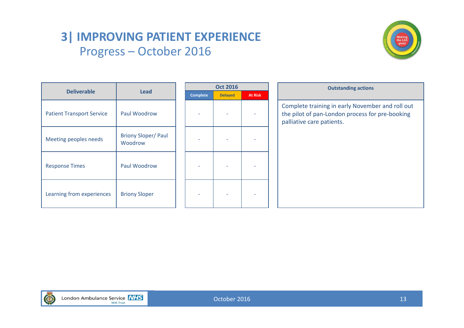# **3| IMPROVING PATIENT EXPERIENCE** Progress – October 2016



|                                  |                                       |  |                 | <b>Oct 2016</b> |                |                     |
|----------------------------------|---------------------------------------|--|-----------------|-----------------|----------------|---------------------|
| <b>Deliverable</b>               | <b>Lead</b>                           |  | <b>Complete</b> | <b>Delayed</b>  | <b>At Risk</b> |                     |
| <b>Patient Transport Service</b> | Paul Woodrow                          |  |                 |                 |                | Con<br>the<br>palli |
| Meeting peoples needs            | <b>Briony Sloper/ Paul</b><br>Woodrow |  |                 |                 |                |                     |
| <b>Response Times</b>            | Paul Woodrow                          |  |                 |                 |                |                     |
| Learning from experiences        | <b>Briony Sloper</b>                  |  |                 |                 |                |                     |

# **Outstanding actions** mplete training in early November and roll out pilot of pan‐London process for pre‐booking liative care patients.

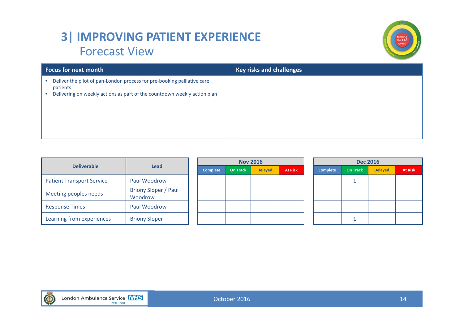# **3| IMPROVING PATIENT EXPERIENCE** Forecast View



| <b>Focus for next month</b>                                                                                                                                                               | <b>Key risks and challenges</b> |
|-------------------------------------------------------------------------------------------------------------------------------------------------------------------------------------------|---------------------------------|
| Deliver the pilot of pan-London process for pre-booking palliative care<br>$\bullet$<br>patients<br>Delivering on weekly actions as part of the countdown weekly action plan<br>$\bullet$ |                                 |

|                                  |                                        |                 |                 | <b>Nov 2016</b> |                | <b>Dec 2016</b> |                 |                |                |  |
|----------------------------------|----------------------------------------|-----------------|-----------------|-----------------|----------------|-----------------|-----------------|----------------|----------------|--|
| <b>Deliverable</b>               | <b>Lead</b>                            | <b>Complete</b> | <b>On Track</b> | <b>Delayed</b>  | <b>At Risk</b> | <b>Complete</b> | <b>On Track</b> | <b>Delayed</b> | <b>At Risk</b> |  |
| <b>Patient Transport Service</b> | Paul Woodrow                           |                 |                 |                 |                |                 |                 |                |                |  |
| Meeting peoples needs            | <b>Briony Sloper / Paul</b><br>Woodrow |                 |                 |                 |                |                 |                 |                |                |  |
| <b>Response Times</b>            | Paul Woodrow                           |                 |                 |                 |                |                 |                 |                |                |  |
| Learning from experiences        | <b>Briony Sloper</b>                   |                 |                 |                 |                |                 |                 |                |                |  |

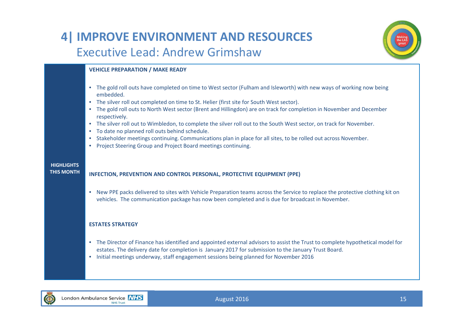### **4| IMPROVE ENVIRONMENT AND RESOURCES** Executive Lead: Andrew Grimshaw



### **VEHICLE PREPARATION / MAKE READY**

- The gold roll outs have completed on time to West sector (Fulham and Isleworth) with new ways of working now being embedded.
- The silver roll out completed on time to St. Helier (first site for South West sector).
- The gold roll outs to North West sector (Brent and Hillingdon) are on track for completion in November and December respectively.
- The silver roll out to Wimbledon, to complete the silver roll out to the South West sector, on track for November.
- To date no planned roll outs behind schedule.
- Stakeholder meetings continuing. Communications plan in place for all sites, to be rolled out across November.
- Project Steering Group and Project Board meetings continuing.

#### **HIGHLIGHTSTHIS MONTH**

### **INFECTION, PREVENTION AND CONTROL PERSONAL, PROTECTIVE EQUIPMENT (PPE)**

• New PPE packs delivered to sites with Vehicle Preparation teams across the Service to replace the protective clothing kit on vehicles. The communication package has now been completed and is due for broadcast in November.

### **ESTATES STRATEGY**

- The Director of Finance has identified and appointed external advisors to assist the Trust to complete hypothetical model for estates. The delivery date for completion is January 2017 for submission to the January Trust Board.
- Initial meetings underway, staff engagement sessions being planned for November 2016

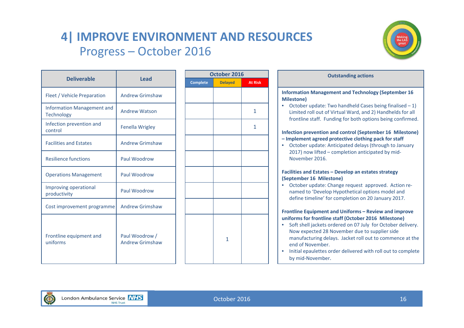# **4| IMPROVE ENVIRONMENT AND RESOURCES** Progress – October 2016



|                                                        |                                          |                 | October 2016   |      |
|--------------------------------------------------------|------------------------------------------|-----------------|----------------|------|
| <b>Deliverable</b>                                     | <b>Lead</b>                              | <b>Complete</b> | <b>Delayed</b> | At R |
| Fleet / Vehicle Preparation                            | <b>Andrew Grimshaw</b>                   |                 |                |      |
| <b>Information Management and</b><br><b>Technology</b> | <b>Andrew Watson</b>                     |                 |                | 1    |
| Infection prevention and<br>control                    | <b>Fenella Wrigley</b>                   |                 |                | 1    |
| <b>Facilities and Estates</b>                          | <b>Andrew Grimshaw</b>                   |                 |                |      |
| <b>Resilience functions</b>                            | Paul Woodrow                             |                 |                |      |
| <b>Operations Management</b>                           | Paul Woodrow                             |                 |                |      |
| Improving operational<br>productivity                  | Paul Woodrow                             |                 |                |      |
| Cost improvement programme                             | <b>Andrew Grimshaw</b>                   |                 |                |      |
| Frontline equipment and<br>uniforms                    | Paul Woodrow /<br><b>Andrew Grimshaw</b> |                 | 1              |      |

|   |                 | October 2016   |                |
|---|-----------------|----------------|----------------|
|   | <b>Complete</b> | <b>Delayed</b> | <b>At Risk</b> |
| W |                 |                |                |
|   |                 |                | $\mathbf{1}$   |
|   |                 |                | $\mathbf{1}$   |
| W |                 |                |                |
|   |                 |                |                |
|   |                 |                |                |
|   |                 |                |                |
| W |                 |                |                |
| W |                 | $\mathbf{1}$   |                |
|   |                 |                |                |

| <b>Deliverable</b>               | <b>Lead</b>                              |
|----------------------------------|------------------------------------------|
| t / Vehicle Preparation          | <b>Andrew Grimshaw</b>                   |
| rmation Management and<br>nology | <b>Andrew Watson</b>                     |
| ction prevention and<br>rol:     | Fenella Wrigley                          |
| lities and Estates               | <b>Andrew Grimshaw</b>                   |
| lience functions                 | Paul Woodrow                             |
| rations Management               | Paul Woodrow                             |
| roving operational<br>luctivity  | Paul Woodrow                             |
| improvement programme            | <b>Andrew Grimshaw</b>                   |
| tline equipment and<br>orms      | Paul Woodrow /<br><b>Andrew Grimshaw</b> |

• Initial epaulettes order delivered with roll out to complete by mid‐November.

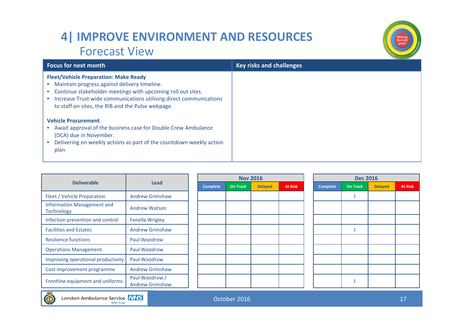# **4| IMPROVE ENVIRONMENT AND RESOURCES** Forecast View



| <b>Focus for next month</b>                                                                                                                                                                                                                                                            | <b>Key risks and challenges</b> |
|----------------------------------------------------------------------------------------------------------------------------------------------------------------------------------------------------------------------------------------------------------------------------------------|---------------------------------|
| <b>Fleet/Vehicle Preparation: Make Ready</b><br>Maintain progress against delivery timeline.<br>Continue stakeholder meetings with upcoming roll out sites.<br>Increase Trust wide communications utilising direct communications<br>to staff on sites, the RIB and the Pulse webpage. |                                 |
| <b>Vehicle Procurement</b><br>Await approval of the business case for Double Crew Ambulance<br>(DCA) due in November.<br>Delivering on weekly actions as part of the countdown weekly action<br>plan                                                                                   |                                 |

|                                                        |                                          |                 |                 | <b>Nov 2016</b> | <b>Dec 2016</b> |                 |                 |                |                |  |
|--------------------------------------------------------|------------------------------------------|-----------------|-----------------|-----------------|-----------------|-----------------|-----------------|----------------|----------------|--|
| <b>Deliverable</b>                                     | <b>Lead</b>                              | <b>Complete</b> | <b>On Track</b> | <b>Delayed</b>  | <b>At Risk</b>  | <b>Complete</b> | <b>On Track</b> | <b>Delayed</b> | <b>At Risk</b> |  |
| Fleet / Vehicle Preparation                            | <b>Andrew Grimshaw</b>                   |                 |                 |                 |                 |                 |                 |                |                |  |
| <b>Information Management and</b><br><b>Technology</b> | <b>Andrew Watson</b>                     |                 |                 |                 |                 |                 |                 |                |                |  |
| Infection prevention and control                       | <b>Fenella Wrigley</b>                   |                 |                 |                 |                 |                 |                 |                |                |  |
| <b>Facilities and Estates</b>                          | <b>Andrew Grimshaw</b>                   |                 |                 |                 |                 |                 |                 |                |                |  |
| <b>Resilience functions</b>                            | Paul Woodrow                             |                 |                 |                 |                 |                 |                 |                |                |  |
| <b>Operations Management</b>                           | Paul Woodrow                             |                 |                 |                 |                 |                 |                 |                |                |  |
| Improving operational productivity                     | Paul Woodrow                             |                 |                 |                 |                 |                 |                 |                |                |  |
| Cost improvement programme                             | <b>Andrew Grimshaw</b>                   |                 |                 |                 |                 |                 |                 |                |                |  |
| Frontline equipment and uniforms                       | Paul Woodrow /<br><b>Andrew Grimshaw</b> |                 |                 |                 |                 |                 |                 |                |                |  |

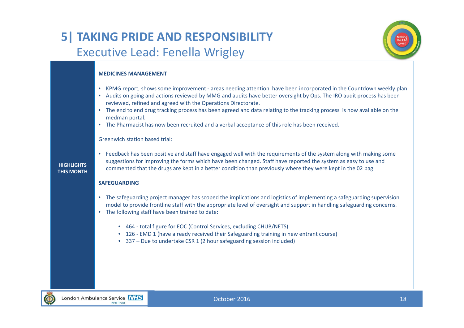# **5| TAKING PRIDE AND RESPONSIBILITY** Executive Lead: Fenella Wrigley



### **MEDICINES MANAGEMENT**

- KPMG report, shows some improvement ‐ areas needing attention have been incorporated in the Countdown weekly plan
- Audits on going and actions reviewed by MMG and audits have better oversight by Ops. The IRO audit process has been reviewed, refined and agreed with the Operations Directorate.
- The end to end drug tracking process has been agreed and data relating to the tracking process is now available on the medman portal.
- The Pharmacist has now been recruited and <sup>a</sup> verbal acceptance of this role has been received.

#### Greenwich station based trial:

#### **HIGHLIGHTSTHIS MONTH**

• Feedback has been positive and staff have engaged well with the requirements of the system along with making some suggestions for improving the forms which have been changed. Staff have reported the system as easy to use and commented that the drugs are kept in <sup>a</sup> better condition than previously where they were kept in the 02 bag.

#### **SAFEGUARDING**

- The safeguarding project manager has scoped the implications and logistics of implementing <sup>a</sup> safeguarding supervision model to provide frontline staff with the appropriate level of oversight and support in handling safeguarding concerns.
- The following staff have been trained to date:
	- 464 ‐ total figure for EOC (Control Services, excluding CHUB/NETS)
	- 126 EMD 1 (have already received their Safeguarding training in new entrant course)
	- 337 Due to undertake CSR 1 (2 hour safeguarding session included)

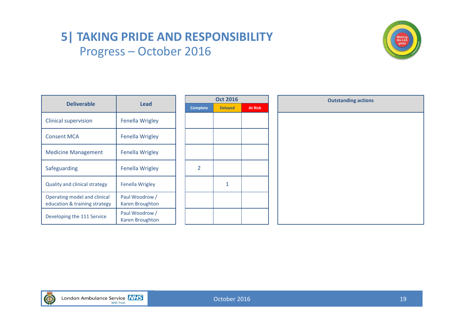# **5| TAKING PRIDE AND RESPONSIBILITY** Progress – October 2016



|                                                               |                                   |                 | <b>Oct 2016</b> |                | <b>Outstanding actions</b> |  |  |  |  |
|---------------------------------------------------------------|-----------------------------------|-----------------|-----------------|----------------|----------------------------|--|--|--|--|
| <b>Deliverable</b>                                            | <b>Lead</b>                       | <b>Complete</b> | <b>Delayed</b>  | <b>At Risk</b> |                            |  |  |  |  |
| <b>Clinical supervision</b>                                   | <b>Fenella Wrigley</b>            |                 |                 |                |                            |  |  |  |  |
| <b>Consent MCA</b>                                            | Fenella Wrigley                   |                 |                 |                |                            |  |  |  |  |
| <b>Medicine Management</b>                                    | <b>Fenella Wrigley</b>            |                 |                 |                |                            |  |  |  |  |
| Safeguarding                                                  | <b>Fenella Wrigley</b>            | $\overline{2}$  |                 |                |                            |  |  |  |  |
| <b>Quality and clinical strategy</b>                          | <b>Fenella Wrigley</b>            |                 | $\mathbf{1}$    |                |                            |  |  |  |  |
| Operating model and clinical<br>education & training strategy | Paul Woodrow /<br>Karen Broughton |                 |                 |                |                            |  |  |  |  |
| Developing the 111 Service                                    | Paul Woodrow /<br>Karen Broughton |                 |                 |                |                            |  |  |  |  |